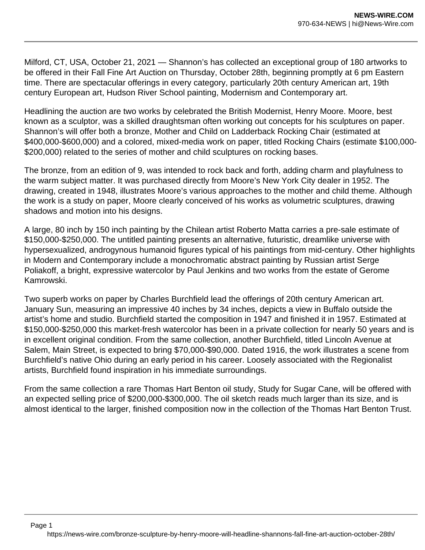Milford, CT, USA, October 21, 2021 — Shannon's has collected an exceptional group of 180 artworks to be offered in their Fall Fine Art Auction on Thursday, October 28th, beginning promptly at 6 pm Eastern time. There are spectacular offerings in every category, particularly 20th century American art, 19th century European art, Hudson River School painting, Modernism and Contemporary art.

Headlining the auction are two works by celebrated the British Modernist, Henry Moore. Moore, best known as a sculptor, was a skilled draughtsman often working out concepts for his sculptures on paper. Shannon's will offer both a bronze, Mother and Child on Ladderback Rocking Chair (estimated at \$400,000-\$600,000) and a colored, mixed-media work on paper, titled Rocking Chairs (estimate \$100,000- \$200,000) related to the series of mother and child sculptures on rocking bases.

The bronze, from an edition of 9, was intended to rock back and forth, adding charm and playfulness to the warm subject matter. It was purchased directly from Moore's New York City dealer in 1952. The drawing, created in 1948, illustrates Moore's various approaches to the mother and child theme. Although the work is a study on paper, Moore clearly conceived of his works as volumetric sculptures, drawing shadows and motion into his designs.

A large, 80 inch by 150 inch painting by the Chilean artist Roberto Matta carries a pre-sale estimate of \$150,000-\$250,000. The untitled painting presents an alternative, futuristic, dreamlike universe with hypersexualized, androgynous humanoid figures typical of his paintings from mid-century. Other highlights in Modern and Contemporary include a monochromatic abstract painting by Russian artist Serge Poliakoff, a bright, expressive watercolor by Paul Jenkins and two works from the estate of Gerome Kamrowski.

Two superb works on paper by Charles Burchfield lead the offerings of 20th century American art. January Sun, measuring an impressive 40 inches by 34 inches, depicts a view in Buffalo outside the artist's home and studio. Burchfield started the composition in 1947 and finished it in 1957. Estimated at \$150,000-\$250,000 this market-fresh watercolor has been in a private collection for nearly 50 years and is in excellent original condition. From the same collection, another Burchfield, titled Lincoln Avenue at Salem, Main Street, is expected to bring \$70,000-\$90,000. Dated 1916, the work illustrates a scene from Burchfield's native Ohio during an early period in his career. Loosely associated with the Regionalist artists, Burchfield found inspiration in his immediate surroundings.

From the same collection a rare Thomas Hart Benton oil study, Study for Sugar Cane, will be offered with an expected selling price of \$200,000-\$300,000. The oil sketch reads much larger than its size, and is almost identical to the larger, finished composition now in the collection of the Thomas Hart Benton Trust.

Page 1